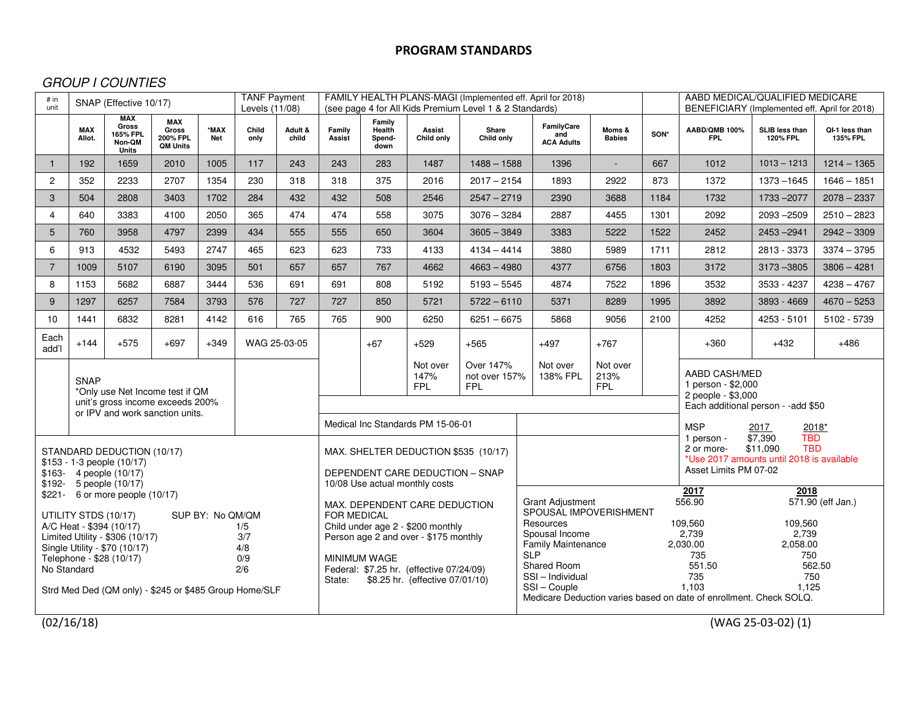## GROUP I COUNTIES

| # in<br>unit                                                                                                                                                                                                                                                                                                                                                 | <b>TANF Payment</b><br>SNAP (Effective 10/17)<br>Levels (11/08)                                                       |                                                    |                                                           |                    |                                                                                                           |                              | FAMILY HEALTH PLANS-MAGI (Implemented eff. April for 2018)<br>(see page 4 for All Kids Premium Level 1 & 2 Standards)                                                                                                                                                                       |                                                                                                                                                                                            |                      |                     |                                                                                                                                                              |                                                                                                                                                                            |                         | AABD MEDICAL/QUALIFIED MEDICARE<br>BENEFICIARY (Implemented eff. April for 2018)                                                                      |                                                                                   |                                   |                                   |
|--------------------------------------------------------------------------------------------------------------------------------------------------------------------------------------------------------------------------------------------------------------------------------------------------------------------------------------------------------------|-----------------------------------------------------------------------------------------------------------------------|----------------------------------------------------|-----------------------------------------------------------|--------------------|-----------------------------------------------------------------------------------------------------------|------------------------------|---------------------------------------------------------------------------------------------------------------------------------------------------------------------------------------------------------------------------------------------------------------------------------------------|--------------------------------------------------------------------------------------------------------------------------------------------------------------------------------------------|----------------------|---------------------|--------------------------------------------------------------------------------------------------------------------------------------------------------------|----------------------------------------------------------------------------------------------------------------------------------------------------------------------------|-------------------------|-------------------------------------------------------------------------------------------------------------------------------------------------------|-----------------------------------------------------------------------------------|-----------------------------------|-----------------------------------|
|                                                                                                                                                                                                                                                                                                                                                              | <b>MAX</b><br>Allot.                                                                                                  | <b>MAX</b><br>Gross<br>165% FPL<br>Non-QM<br>Units | <b>MAX</b><br><b>Gross</b><br>200% FPL<br><b>QM Units</b> | *MAX<br><b>Net</b> | Child<br>only                                                                                             | Adult &<br>child             | Family<br>Assist                                                                                                                                                                                                                                                                            | Family<br>Health<br>Spend-<br>down                                                                                                                                                         | Assist<br>Child only | Share<br>Child only |                                                                                                                                                              | FamilyCare<br>and<br><b>ACA Adults</b>                                                                                                                                     | Moms &<br><b>Babies</b> | SON*                                                                                                                                                  | AABD/QMB 100%<br><b>FPL</b>                                                       | SLIB less than<br><b>120% FPL</b> | QI-1 less than<br><b>135% FPL</b> |
| $\mathbf{1}$                                                                                                                                                                                                                                                                                                                                                 | 192                                                                                                                   | 1659                                               | 2010                                                      | 1005               | 117                                                                                                       | 243                          | 243                                                                                                                                                                                                                                                                                         | 283                                                                                                                                                                                        | 1487                 | $1488 - 1588$       |                                                                                                                                                              | 1396                                                                                                                                                                       | $\sim$                  | 667                                                                                                                                                   | 1012                                                                              | $1013 - 1213$                     | $1214 - 1365$                     |
| $\overline{2}$                                                                                                                                                                                                                                                                                                                                               | 352                                                                                                                   | 2233                                               | 2707                                                      | 1354               | 230                                                                                                       | 318                          | 318                                                                                                                                                                                                                                                                                         | 375                                                                                                                                                                                        | 2016                 | $2017 - 2154$       |                                                                                                                                                              | 1893                                                                                                                                                                       | 2922                    | 873                                                                                                                                                   | 1372                                                                              | 1373 - 1645                       | $1646 - 1851$                     |
| 3                                                                                                                                                                                                                                                                                                                                                            | 504                                                                                                                   | 2808                                               | 3403                                                      | 1702               | 284                                                                                                       | 432                          | 432                                                                                                                                                                                                                                                                                         | 508                                                                                                                                                                                        | 2546                 | $2547 - 2719$       |                                                                                                                                                              | 2390                                                                                                                                                                       | 3688                    | 1184                                                                                                                                                  | 1732                                                                              | 1733 - 2077                       | $2078 - 2337$                     |
| $\overline{4}$                                                                                                                                                                                                                                                                                                                                               | 640                                                                                                                   | 3383                                               | 4100                                                      | 2050               | 365                                                                                                       | 474                          | 474                                                                                                                                                                                                                                                                                         | 558                                                                                                                                                                                        | 3075                 | $3076 - 3284$       |                                                                                                                                                              | 2887                                                                                                                                                                       | 4455                    | 1301                                                                                                                                                  | 2092                                                                              | 2093-2509                         | $2510 - 2823$                     |
| 5                                                                                                                                                                                                                                                                                                                                                            | 760                                                                                                                   | 3958                                               | 4797                                                      | 2399               | 434                                                                                                       | 555                          | 555                                                                                                                                                                                                                                                                                         | 650                                                                                                                                                                                        | 3604                 | $3605 - 3849$       |                                                                                                                                                              | 3383                                                                                                                                                                       | 5222                    | 1522                                                                                                                                                  | 2452                                                                              | 2453-2941                         | $2942 - 3309$                     |
| 6                                                                                                                                                                                                                                                                                                                                                            | 913                                                                                                                   | 4532                                               | 5493                                                      | 2747               | 465                                                                                                       | 623                          | 623                                                                                                                                                                                                                                                                                         | 733                                                                                                                                                                                        | 4133                 | $4134 - 4414$       |                                                                                                                                                              | 3880                                                                                                                                                                       | 5989                    | 1711                                                                                                                                                  | 2812                                                                              | 2813 - 3373                       | $3374 - 3795$                     |
| $\overline{7}$                                                                                                                                                                                                                                                                                                                                               | 1009                                                                                                                  | 5107                                               | 6190                                                      | 3095               | 501                                                                                                       | 657                          | 657                                                                                                                                                                                                                                                                                         | 767                                                                                                                                                                                        | 4662                 | $4663 - 4980$       |                                                                                                                                                              | 4377                                                                                                                                                                       | 6756                    | 1803                                                                                                                                                  | 3172                                                                              | $3173 - 3805$                     | $3806 - 4281$                     |
| 8                                                                                                                                                                                                                                                                                                                                                            | 1153                                                                                                                  | 5682                                               | 6887                                                      | 3444               | 536                                                                                                       | 691                          | 691                                                                                                                                                                                                                                                                                         | 808                                                                                                                                                                                        | 5192                 | $5193 - 5545$       |                                                                                                                                                              | 4874                                                                                                                                                                       | 7522                    | 1896                                                                                                                                                  | 3532                                                                              | 3533 - 4237                       | $4238 - 4767$                     |
| 9                                                                                                                                                                                                                                                                                                                                                            | 1297                                                                                                                  | 6257                                               | 7584                                                      | 3793               | 576                                                                                                       | 727                          | 727                                                                                                                                                                                                                                                                                         | 850                                                                                                                                                                                        | 5721                 | $5722 - 6110$       |                                                                                                                                                              | 5371                                                                                                                                                                       | 8289                    | 1995                                                                                                                                                  | 3892                                                                              | 3893 - 4669                       | $4670 - 5253$                     |
| 10                                                                                                                                                                                                                                                                                                                                                           | 1441                                                                                                                  | 6832                                               | 8281                                                      | 4142               | 616                                                                                                       | 765                          | 765                                                                                                                                                                                                                                                                                         | 900                                                                                                                                                                                        | 6250                 | $6251 - 6675$       |                                                                                                                                                              | 5868                                                                                                                                                                       | 9056                    | 2100                                                                                                                                                  | 4252                                                                              | 4253 - 5101                       | 5102 - 5739                       |
| Each<br>add'l                                                                                                                                                                                                                                                                                                                                                | $+144$                                                                                                                | $+575$                                             | $+697$                                                    | $+349$             |                                                                                                           | WAG 25-03-05                 |                                                                                                                                                                                                                                                                                             | $+67$                                                                                                                                                                                      | $+529$               | $+565$              |                                                                                                                                                              | $+497$                                                                                                                                                                     | $+767$                  |                                                                                                                                                       | $+360$                                                                            | $+432$                            | $+486$                            |
|                                                                                                                                                                                                                                                                                                                                                              | <b>SNAP</b><br>*Only use Net Income test if QM<br>unit's gross income exceeds 200%<br>or IPV and work sanction units. |                                                    |                                                           |                    |                                                                                                           |                              | Over 147%<br>Not over<br>Not over<br>Not over<br>AABD CASH/MED<br>138% FPL<br>213%<br>147%<br>not over 157%<br>1 person - \$2,000<br><b>FPL</b><br><b>FPL</b><br><b>FPL</b><br>2 people - \$3,000<br>Each additional person - - add \$50<br>Medical Inc Standards PM 15-06-01<br><b>MSP</b> |                                                                                                                                                                                            |                      |                     |                                                                                                                                                              |                                                                                                                                                                            |                         |                                                                                                                                                       |                                                                                   |                                   |                                   |
| STANDARD DEDUCTION (10/17)<br>$$153 - 1-3$ people $(10/17)$<br>$$163-4$ people $(10/17)$                                                                                                                                                                                                                                                                     |                                                                                                                       |                                                    |                                                           |                    | MAX. SHELTER DEDUCTION \$535 (10/17)<br>DEPENDENT CARE DEDUCTION - SNAP<br>10/08 Use actual monthly costs |                              |                                                                                                                                                                                                                                                                                             |                                                                                                                                                                                            |                      |                     |                                                                                                                                                              | 2017<br>2018*<br><b>TBD</b><br>$\sqrt{$7,390}$<br>1 person -<br>\$11,090<br><b>TBD</b><br>2 or more-<br>*Use 2017 amounts until 2018 is available<br>Asset Limits PM 07-02 |                         |                                                                                                                                                       |                                                                                   |                                   |                                   |
| \$192- 5 people (10/17)<br>\$221- 6 or more people (10/17)<br>UTILITY STDS (10/17)<br>SUP BY: No QM/QM<br>A/C Heat - \$394 (10/17)<br>1/5<br>Limited Utility - \$306 (10/17)<br>3/7<br>Single Utility - \$70 (10/17)<br>4/8<br>Telephone - \$28 (10/17)<br>0/9<br>No Standard<br>2/6<br>Strd Med Ded (QM only) - \$245 or \$485 Group Home/SLF<br>(02/16/18) |                                                                                                                       |                                                    |                                                           |                    |                                                                                                           | <b>FOR MEDICAL</b><br>State: | MINIMUM WAGE                                                                                                                                                                                                                                                                                | MAX. DEPENDENT CARE DEDUCTION<br>Child under age 2 - \$200 monthly<br>Person age 2 and over - \$175 monthly<br>Federal: \$7.25 hr. (effective 07/24/09)<br>\$8.25 hr. (effective 07/01/10) |                      | <b>SLP</b>          | <b>Grant Adjustment</b><br>SPOUSAL IMPOVERISHMENT<br>Resources<br>Spousal Income<br><b>Family Maintenance</b><br>Shared Room<br>SSI-Individual<br>SSI-Couple |                                                                                                                                                                            |                         | 2017<br>556.90<br>109,560<br>2,739<br>2.030.00<br>735<br>551.50<br>735<br>1.103<br>Medicare Deduction varies based on date of enrollment. Check SOLQ. | 2018<br>109,560<br>2,739<br>2.058.00<br>750<br>750<br>1.125<br>(WAG 25-03-02) (1) | 571.90 (eff Jan.)<br>562.50       |                                   |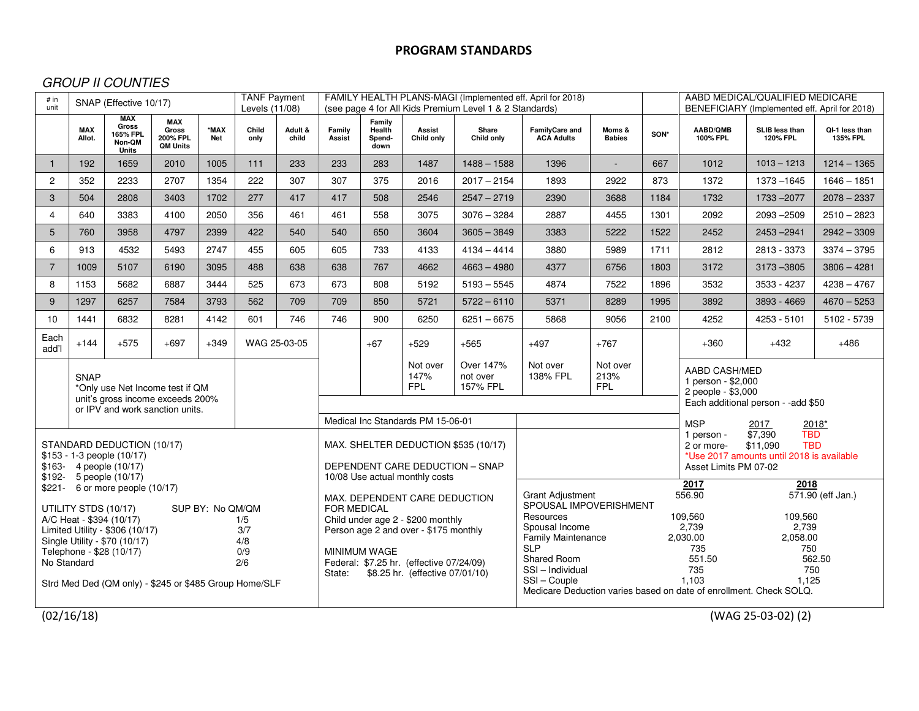# GROUP II COUNTIES

| $\overline{1}$                                                                                                                                                                                                                                                                                                                                                   | <b>MAX</b><br>Allot. | <b>MAX</b>                                         |                                                           | <b>TANF Payment</b><br># in<br>SNAP (Effective 10/17)<br>unit<br>Levels (11/08) |               |                                                                                                                                                                                                                                                                                     |                                   |                                                                         |                                                                                                                                                                                            | FAMILY HEALTH PLANS-MAGI (Implemented eff. April for 2018)<br>(see page 4 for All Kids Premium Level 1 & 2 Standards)                                                        |                                     | AABD MEDICAL/QUALIFIED MEDICARE<br>BENEFICIARY (Implemented eff. April for 2018)                                                                                                                                                                    |      |                                     |                            |                            |  |
|------------------------------------------------------------------------------------------------------------------------------------------------------------------------------------------------------------------------------------------------------------------------------------------------------------------------------------------------------------------|----------------------|----------------------------------------------------|-----------------------------------------------------------|---------------------------------------------------------------------------------|---------------|-------------------------------------------------------------------------------------------------------------------------------------------------------------------------------------------------------------------------------------------------------------------------------------|-----------------------------------|-------------------------------------------------------------------------|--------------------------------------------------------------------------------------------------------------------------------------------------------------------------------------------|------------------------------------------------------------------------------------------------------------------------------------------------------------------------------|-------------------------------------|-----------------------------------------------------------------------------------------------------------------------------------------------------------------------------------------------------------------------------------------------------|------|-------------------------------------|----------------------------|----------------------------|--|
|                                                                                                                                                                                                                                                                                                                                                                  |                      | <b>Gross</b><br>165% FPL<br>Non-QM<br><b>Units</b> | <b>MAX</b><br><b>Gross</b><br>200% FPL<br><b>QM Units</b> | *MAX<br><b>Net</b>                                                              | Child<br>only | Adult &<br>child                                                                                                                                                                                                                                                                    | Family<br>Assist                  | Family<br>Health<br>Spend-<br>down                                      | Assist<br>Child only                                                                                                                                                                       | Share<br>Child only                                                                                                                                                          | FamilyCare and<br><b>ACA Adults</b> | Moms &<br><b>Babies</b>                                                                                                                                                                                                                             | SON* | AABD/QMB<br>100% FPL                | SLIB less than<br>120% FPL | QI-1 less than<br>135% FPL |  |
|                                                                                                                                                                                                                                                                                                                                                                  | 192                  | 1659                                               | 2010                                                      | 1005                                                                            | 111           | 233                                                                                                                                                                                                                                                                                 | 233                               | 283                                                                     | 1487                                                                                                                                                                                       | $1488 - 1588$                                                                                                                                                                | 1396                                | $\mathbf{r}$                                                                                                                                                                                                                                        | 667  | 1012                                | $1013 - 1213$              | $1214 - 1365$              |  |
| $\overline{2}$                                                                                                                                                                                                                                                                                                                                                   | 352                  | 2233                                               | 2707                                                      | 1354                                                                            | 222           | 307                                                                                                                                                                                                                                                                                 | 307                               | 375                                                                     | 2016                                                                                                                                                                                       | $2017 - 2154$                                                                                                                                                                | 1893                                | 2922                                                                                                                                                                                                                                                | 873  | 1372                                | 1373 - 1645                | $1646 - 1851$              |  |
| 3                                                                                                                                                                                                                                                                                                                                                                | 504                  | 2808                                               | 3403                                                      | 1702                                                                            | 277           | 417                                                                                                                                                                                                                                                                                 | 417                               | 508                                                                     | 2546                                                                                                                                                                                       | $2547 - 2719$                                                                                                                                                                | 2390                                | 3688                                                                                                                                                                                                                                                | 1184 | 1732                                | 1733 - 2077                | $2078 - 2337$              |  |
| 4                                                                                                                                                                                                                                                                                                                                                                | 640                  | 3383                                               | 4100                                                      | 2050                                                                            | 356           | 461                                                                                                                                                                                                                                                                                 | 461                               | 558                                                                     | 3075                                                                                                                                                                                       | $3076 - 3284$                                                                                                                                                                | 2887                                | 4455                                                                                                                                                                                                                                                | 1301 | 2092                                | 2093 - 2509                | $2510 - 2823$              |  |
| 5                                                                                                                                                                                                                                                                                                                                                                | 760                  | 3958                                               | 4797                                                      | 2399                                                                            | 422           | 540                                                                                                                                                                                                                                                                                 | 540                               | 650                                                                     | 3604                                                                                                                                                                                       | $3605 - 3849$                                                                                                                                                                | 3383                                | 5222                                                                                                                                                                                                                                                | 1522 | 2452                                | 2453-2941                  | $2942 - 3309$              |  |
| 6                                                                                                                                                                                                                                                                                                                                                                | 913                  | 4532                                               | 5493                                                      | 2747                                                                            | 455           | 605                                                                                                                                                                                                                                                                                 | 605                               | 733                                                                     | 4133                                                                                                                                                                                       | $4134 - 4414$                                                                                                                                                                | 3880                                | 5989                                                                                                                                                                                                                                                | 1711 | 2812                                | 2813 - 3373                | $3374 - 3795$              |  |
| $\overline{7}$                                                                                                                                                                                                                                                                                                                                                   | 1009                 | 5107                                               | 6190                                                      | 3095                                                                            | 488           | 638                                                                                                                                                                                                                                                                                 | 638                               | 767                                                                     | 4662                                                                                                                                                                                       | $4663 - 4980$                                                                                                                                                                | 4377                                | 6756                                                                                                                                                                                                                                                | 1803 | 3172                                | 3173 - 3805                | $3806 - 4281$              |  |
| 8                                                                                                                                                                                                                                                                                                                                                                | 1153                 | 5682                                               | 6887                                                      | 3444                                                                            | 525           | 673                                                                                                                                                                                                                                                                                 | 673                               | 808                                                                     | 5192                                                                                                                                                                                       | $5193 - 5545$                                                                                                                                                                | 4874                                | 7522                                                                                                                                                                                                                                                | 1896 | 3532                                | 3533 - 4237                | $4238 - 4767$              |  |
| 9                                                                                                                                                                                                                                                                                                                                                                | 1297                 | 6257                                               | 7584                                                      | 3793                                                                            | 562           | 709                                                                                                                                                                                                                                                                                 | 709                               | 850                                                                     | 5721                                                                                                                                                                                       | $5722 - 6110$                                                                                                                                                                | 5371                                | 8289                                                                                                                                                                                                                                                | 1995 | 3892                                | 3893 - 4669                | $4670 - 5253$              |  |
| 10                                                                                                                                                                                                                                                                                                                                                               | 1441                 | 6832                                               | 8281                                                      | 4142                                                                            | 601           | 746                                                                                                                                                                                                                                                                                 | 746                               | 900                                                                     | 6250                                                                                                                                                                                       | $6251 - 6675$                                                                                                                                                                | 5868                                | 9056                                                                                                                                                                                                                                                | 2100 | 4252                                | 4253 - 5101                | 5102 - 5739                |  |
| Each<br>add'l                                                                                                                                                                                                                                                                                                                                                    | $+144$               | $+575$                                             | $+697$                                                    | $+349$                                                                          |               | WAG 25-03-05                                                                                                                                                                                                                                                                        |                                   | $+67$                                                                   | $+529$                                                                                                                                                                                     | $+565$                                                                                                                                                                       | $+497$                              | $+767$                                                                                                                                                                                                                                              |      | $+360$                              | $+432$                     | $+486$                     |  |
| <b>SNAP</b><br>*Only use Net Income test if QM<br>unit's gross income exceeds 200%                                                                                                                                                                                                                                                                               |                      |                                                    |                                                           |                                                                                 |               |                                                                                                                                                                                                                                                                                     | Not over<br>147%<br><b>FPL</b>    | Over 147%<br>not over<br>157% FPL                                       | Not over<br>138% FPL                                                                                                                                                                       | Not over<br>213%<br><b>FPL</b>                                                                                                                                               |                                     | AABD CASH/MED<br>1 person - \$2,000<br>2 people - \$3,000                                                                                                                                                                                           |      |                                     |                            |                            |  |
|                                                                                                                                                                                                                                                                                                                                                                  |                      |                                                    | or IPV and work sanction units.                           |                                                                                 |               |                                                                                                                                                                                                                                                                                     | Medical Inc Standards PM 15-06-01 |                                                                         |                                                                                                                                                                                            |                                                                                                                                                                              |                                     |                                                                                                                                                                                                                                                     |      | Each additional person - - add \$50 |                            |                            |  |
| STANDARD DEDUCTION (10/17)<br>\$153 - 1-3 people (10/17)<br>\$163- 4 people (10/17)                                                                                                                                                                                                                                                                              |                      |                                                    |                                                           |                                                                                 |               |                                                                                                                                                                                                                                                                                     |                                   | MAX. SHELTER DEDUCTION \$535 (10/17)<br>DEPENDENT CARE DEDUCTION - SNAP | <b>MSP</b><br>2017<br>$2018*$<br>$\sqrt{$7,390}$<br><b>TBD</b><br>1 person -<br>\$11,090<br><b>TBD</b><br>2 or more-<br>*Use 2017 amounts until 2018 is available<br>Asset Limits PM 07-02 |                                                                                                                                                                              |                                     |                                                                                                                                                                                                                                                     |      |                                     |                            |                            |  |
| $$192 - 5$ people $(10/17)$<br>\$221- 6 or more people (10/17)<br>UTILITY STDS (10/17)<br>SUP BY: No QM/QM<br>A/C Heat - \$394 (10/17)<br>1/5<br>Limited Utility - \$306 (10/17)<br>3/7<br>Single Utility - \$70 (10/17)<br>4/8<br>Telephone - \$28 (10/17)<br>0/9<br>No Standard<br>2/6<br>Strd Med Ded (QM only) - \$245 or \$485 Group Home/SLF<br>(02/16/18) |                      |                                                    |                                                           |                                                                                 |               | 10/08 Use actual monthly costs<br>MAX. DEPENDENT CARE DEDUCTION<br><b>FOR MEDICAL</b><br>Child under age 2 - \$200 monthly<br>Person age 2 and over - \$175 monthly<br><b>MINIMUM WAGE</b><br>Federal: \$7.25 hr. (effective 07/24/09)<br>\$8.25 hr. (effective 07/01/10)<br>State: |                                   |                                                                         |                                                                                                                                                                                            | <b>Grant Adjustment</b><br>SPOUSAL IMPOVERISHMENT<br>Resources<br>Spousal Income<br><b>Family Maintenance</b><br><b>SLP</b><br>Shared Room<br>SSI - Individual<br>SSI-Couple |                                     | 2017<br>2018<br>571.90 (eff Jan.)<br>556.90<br>109.560<br>109.560<br>2,739<br>2,739<br>2,030.00<br>2,058.00<br>735<br>750<br>551.50<br>562.50<br>735<br>750<br>1.103<br>1.125<br>Medicare Deduction varies based on date of enrollment. Check SOLQ. |      |                                     |                            |                            |  |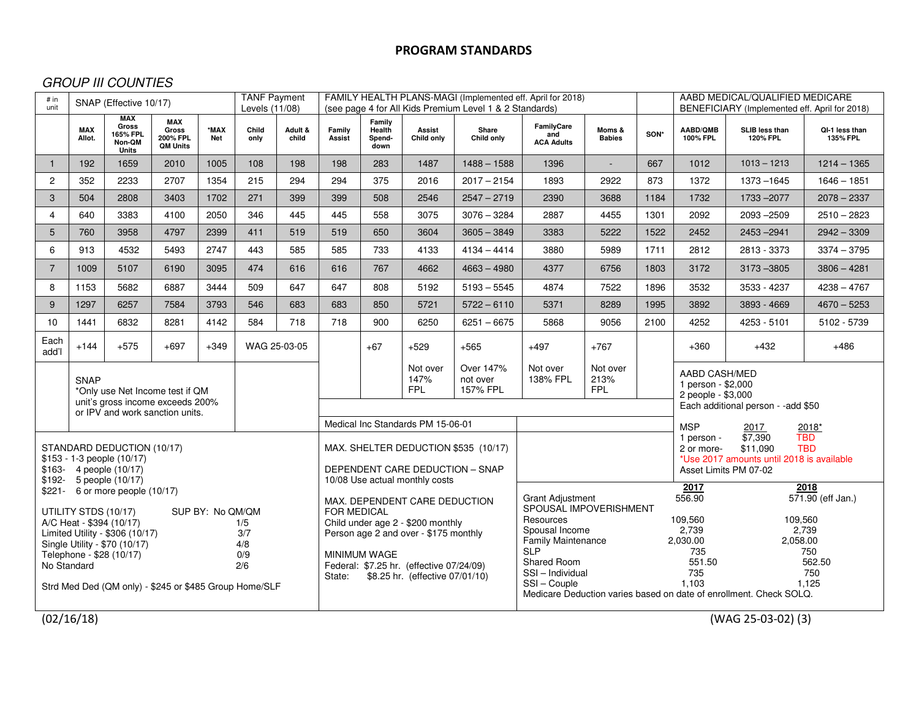# GROUP III COUNTIES

|                                                                                                                                                                                                                                                                                                                                                              | <b>MAX</b> | <b>MAX</b>                                         |                                                    | <b>TANF Payment</b><br># in<br>SNAP (Effective 10/17)<br>unit<br>Levels (11/08) |                                                                                                              |                                                                                                                               |                                                                                                                                                                                                                                                                                     |                                    |                      | FAMILY HEALTH PLANS-MAGI (Implemented eff. April for 2018)<br>(see page 4 for All Kids Premium Level 1 & 2 Standards) |                                                                                                                                                  | AABD MEDICAL/QUALIFIED MEDICARE<br>BENEFICIARY (Implemented eff. April for 2018)                                                                                                                                                                                                                    |      |                      |                                    |                            |
|--------------------------------------------------------------------------------------------------------------------------------------------------------------------------------------------------------------------------------------------------------------------------------------------------------------------------------------------------------------|------------|----------------------------------------------------|----------------------------------------------------|---------------------------------------------------------------------------------|--------------------------------------------------------------------------------------------------------------|-------------------------------------------------------------------------------------------------------------------------------|-------------------------------------------------------------------------------------------------------------------------------------------------------------------------------------------------------------------------------------------------------------------------------------|------------------------------------|----------------------|-----------------------------------------------------------------------------------------------------------------------|--------------------------------------------------------------------------------------------------------------------------------------------------|-----------------------------------------------------------------------------------------------------------------------------------------------------------------------------------------------------------------------------------------------------------------------------------------------------|------|----------------------|------------------------------------|----------------------------|
|                                                                                                                                                                                                                                                                                                                                                              | Allot.     | <b>Gross</b><br>165% FPL<br>Non-QM<br><b>Units</b> | <b>MAX</b><br>Gross<br>200% FPL<br><b>QM Units</b> | *MAX<br><b>Net</b>                                                              | Child<br>only                                                                                                | Adult &<br>child                                                                                                              | Family<br>Assist                                                                                                                                                                                                                                                                    | Family<br>Health<br>Spend-<br>down | Assist<br>Child only | Share<br>Child only                                                                                                   | FamilyCare<br>and<br><b>ACA Adults</b>                                                                                                           | Moms &<br><b>Babies</b>                                                                                                                                                                                                                                                                             | SON* | AABD/QMB<br>100% FPL | SLIB less than<br><b>120% FPL</b>  | QI-1 less than<br>135% FPL |
| $\mathbf{1}$                                                                                                                                                                                                                                                                                                                                                 | 192        | 1659                                               | 2010                                               | 1005                                                                            | 108                                                                                                          | 198                                                                                                                           | 198                                                                                                                                                                                                                                                                                 | 283                                | 1487                 | $1488 - 1588$                                                                                                         | 1396                                                                                                                                             | $\overline{\phantom{a}}$                                                                                                                                                                                                                                                                            | 667  | 1012                 | $1013 - 1213$                      | $1214 - 1365$              |
| $\overline{2}$                                                                                                                                                                                                                                                                                                                                               | 352        | 2233                                               | 2707                                               | 1354                                                                            | 215                                                                                                          | 294                                                                                                                           | 294                                                                                                                                                                                                                                                                                 | 375                                | 2016                 | $2017 - 2154$                                                                                                         | 1893                                                                                                                                             | 2922                                                                                                                                                                                                                                                                                                | 873  | 1372                 | 1373-1645                          | $1646 - 1851$              |
| 3                                                                                                                                                                                                                                                                                                                                                            | 504        | 2808                                               | 3403                                               | 1702                                                                            | 271                                                                                                          | 399                                                                                                                           | 399                                                                                                                                                                                                                                                                                 | 508                                | 2546                 | $2547 - 2719$                                                                                                         | 2390                                                                                                                                             | 3688                                                                                                                                                                                                                                                                                                | 1184 | 1732                 | 1733 - 2077                        | $2078 - 2337$              |
| $\overline{4}$                                                                                                                                                                                                                                                                                                                                               | 640        | 3383                                               | 4100                                               | 2050                                                                            | 346                                                                                                          | 445                                                                                                                           | 445                                                                                                                                                                                                                                                                                 | 558                                | 3075                 | $3076 - 3284$                                                                                                         | 2887                                                                                                                                             | 4455                                                                                                                                                                                                                                                                                                | 1301 | 2092                 | $2093 - 2509$                      | $2510 - 2823$              |
| 5                                                                                                                                                                                                                                                                                                                                                            | 760        | 3958                                               | 4797                                               | 2399                                                                            | 411                                                                                                          | 519                                                                                                                           | 519                                                                                                                                                                                                                                                                                 | 650                                | 3604                 | $3605 - 3849$                                                                                                         | 3383                                                                                                                                             | 5222                                                                                                                                                                                                                                                                                                | 1522 | 2452                 | $2453 - 2941$                      | $2942 - 3309$              |
| 6                                                                                                                                                                                                                                                                                                                                                            | 913        | 4532                                               | 5493                                               | 2747                                                                            | 443                                                                                                          | 585                                                                                                                           | 585                                                                                                                                                                                                                                                                                 | 733                                | 4133                 | $4134 - 4414$                                                                                                         | 3880                                                                                                                                             | 5989                                                                                                                                                                                                                                                                                                | 1711 | 2812                 | 2813 - 3373                        | $3374 - 3795$              |
| $\overline{7}$                                                                                                                                                                                                                                                                                                                                               | 1009       | 5107                                               | 6190                                               | 3095                                                                            | 474                                                                                                          | 616                                                                                                                           | 616                                                                                                                                                                                                                                                                                 | 767                                | 4662                 | $4663 - 4980$                                                                                                         | 4377                                                                                                                                             | 6756                                                                                                                                                                                                                                                                                                | 1803 | 3172                 | 3173 - 3805                        | $3806 - 4281$              |
| 8                                                                                                                                                                                                                                                                                                                                                            | 1153       | 5682                                               | 6887                                               | 3444                                                                            | 509                                                                                                          | 647                                                                                                                           | 647                                                                                                                                                                                                                                                                                 | 808                                | 5192                 | $5193 - 5545$                                                                                                         | 4874                                                                                                                                             | 7522                                                                                                                                                                                                                                                                                                | 1896 | 3532                 | 3533 - 4237                        | $4238 - 4767$              |
| 9                                                                                                                                                                                                                                                                                                                                                            | 1297       | 6257                                               | 7584                                               | 3793                                                                            | 546                                                                                                          | 683                                                                                                                           | 683                                                                                                                                                                                                                                                                                 | 850                                | 5721                 | $5722 - 6110$                                                                                                         | 5371                                                                                                                                             | 8289                                                                                                                                                                                                                                                                                                | 1995 | 3892                 | 3893 - 4669                        | $4670 - 5253$              |
| 10                                                                                                                                                                                                                                                                                                                                                           | 1441       | 6832                                               | 8281                                               | 4142                                                                            | 584                                                                                                          | 718                                                                                                                           | 718                                                                                                                                                                                                                                                                                 | 900                                | 6250                 | $6251 - 6675$                                                                                                         | 5868                                                                                                                                             | 9056                                                                                                                                                                                                                                                                                                | 2100 | 4252                 | 4253 - 5101                        | 5102 - 5739                |
| Each<br>add'l                                                                                                                                                                                                                                                                                                                                                | $+144$     | $+575$                                             | $+697$                                             | $+349$                                                                          |                                                                                                              | WAG 25-03-05                                                                                                                  |                                                                                                                                                                                                                                                                                     | $+67$                              | $+529$               | $+565$                                                                                                                | $+497$                                                                                                                                           | $+767$                                                                                                                                                                                                                                                                                              |      | $+360$               | $+432$                             | $+486$                     |
| <b>SNAP</b><br>*Only use Net Income test if QM<br>unit's gross income exceeds 200%                                                                                                                                                                                                                                                                           |            |                                                    |                                                    |                                                                                 |                                                                                                              | Over 147%<br>Not over<br>Not over<br>Not over<br>147%<br>138% FPL<br>213%<br>not over<br><b>FPL</b><br><b>FPL</b><br>157% FPL |                                                                                                                                                                                                                                                                                     |                                    |                      |                                                                                                                       |                                                                                                                                                  | AABD CASH/MED<br>1 person - \$2,000<br>2 people - \$3,000                                                                                                                                                                                                                                           |      |                      |                                    |                            |
|                                                                                                                                                                                                                                                                                                                                                              |            |                                                    | or IPV and work sanction units.                    |                                                                                 |                                                                                                              |                                                                                                                               |                                                                                                                                                                                                                                                                                     |                                    |                      |                                                                                                                       |                                                                                                                                                  |                                                                                                                                                                                                                                                                                                     |      |                      | Each additional person - -add \$50 |                            |
| STANDARD DEDUCTION (10/17)<br>\$153 - 1-3 people (10/17)<br>\$163- 4 people (10/17)                                                                                                                                                                                                                                                                          |            |                                                    |                                                    |                                                                                 | Medical Inc Standards PM 15-06-01<br>MAX. SHELTER DEDUCTION \$535 (10/17)<br>DEPENDENT CARE DEDUCTION - SNAP |                                                                                                                               |                                                                                                                                                                                                                                                                                     |                                    |                      |                                                                                                                       |                                                                                                                                                  | <b>MSP</b><br>2017<br><u> 2018*</u><br><b>TBD</b><br>\$7,390<br>1 person -<br><b>TBD</b><br>\$11,090<br>2 or more-<br>*Use 2017 amounts until 2018 is available<br>Asset Limits PM 07-02                                                                                                            |      |                      |                                    |                            |
| \$192- 5 people (10/17)<br>\$221- 6 or more people (10/17)<br>UTILITY STDS (10/17)<br>SUP BY: No QM/QM<br>A/C Heat - \$394 (10/17)<br>1/5<br>Limited Utility - \$306 (10/17)<br>3/7<br>Single Utility - \$70 (10/17)<br>4/8<br>Telephone - \$28 (10/17)<br>0/9<br>No Standard<br>2/6<br>Strd Med Ded (QM only) - \$245 or \$485 Group Home/SLF<br>(02/16/18) |            |                                                    |                                                    |                                                                                 |                                                                                                              |                                                                                                                               | 10/08 Use actual monthly costs<br>MAX. DEPENDENT CARE DEDUCTION<br><b>FOR MEDICAL</b><br>Child under age 2 - \$200 monthly<br>Person age 2 and over - \$175 monthly<br><b>MINIMUM WAGE</b><br>Federal: \$7.25 hr. (effective 07/24/09)<br>\$8.25 hr. (effective 07/01/10)<br>State: |                                    |                      |                                                                                                                       | <b>Grant Adjustment</b><br>Resources<br>Spousal Income<br><b>Family Maintenance</b><br><b>SLP</b><br>Shared Room<br>SSI-Individual<br>SSI-Couple | 2017<br>2018<br>571.90 (eff Jan.)<br>556.90<br>SPOUSAL IMPOVERISHMENT<br>109,560<br>109,560<br>2.739<br>2,739<br>2,030.00<br>2,058.00<br>735<br>750<br>562.50<br>551.50<br>735<br>750<br>1,103<br>1,125<br>Medicare Deduction varies based on date of enrollment. Check SOLQ.<br>(WAG 25-03-02) (3) |      |                      |                                    |                            |